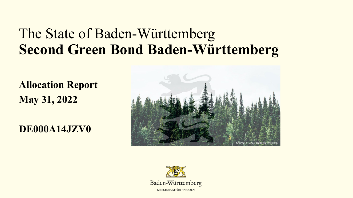# The State of Baden-Württemberg **Second Green Bond Baden-Württemberg**

**Allocation Report May 31, 2022**

**DE000A14JZV0**



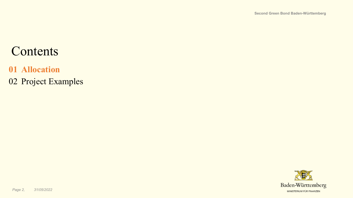### **Contents**

#### **01 Allocation**

02 Project Examples

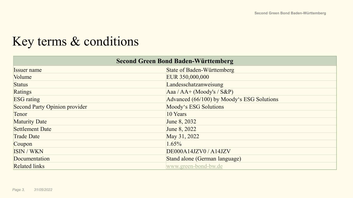### Key terms & conditions

| <b>Second Green Bond Baden-Württemberg</b> |                                            |  |  |
|--------------------------------------------|--------------------------------------------|--|--|
| <b>Issuer name</b>                         | <b>State of Baden-Württemberg</b>          |  |  |
| Volume                                     | EUR 350,000,000                            |  |  |
| <b>Status</b>                              | Landesschatzanweisung                      |  |  |
| Ratings                                    | Aaa / AA+ (Moody's / S&P)                  |  |  |
| <b>ESG</b> rating                          | Advanced (66/100) by Moody's ESG Solutions |  |  |
| <b>Second Party Opinion provider</b>       | Moody's ESG Solutions                      |  |  |
| Tenor                                      | 10 Years                                   |  |  |
| <b>Maturity Date</b>                       | June 8, 2032                               |  |  |
| <b>Settlement Date</b>                     | June 8, 2022                               |  |  |
| <b>Trade Date</b>                          | May 31, 2022                               |  |  |
| Coupon                                     | $1.65\%$                                   |  |  |
| ISIN / WKN                                 | DE000A14JZV0 / A14JZV                      |  |  |
| Documentation                              | Stand alone (German language)              |  |  |
| <b>Related links</b>                       | www.green-bond-bw.de                       |  |  |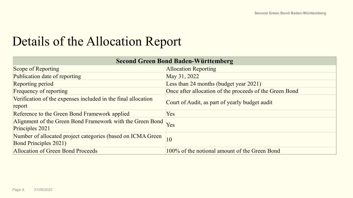### Details of the Allocation Report

| <b>Second Green Bond Baden-Württemberg</b>                                                  |                                                         |  |  |
|---------------------------------------------------------------------------------------------|---------------------------------------------------------|--|--|
| Scope of Reporting                                                                          | <b>Allocation Reporting</b>                             |  |  |
| Publication date of reporting                                                               | May 31, 2022                                            |  |  |
| Reporting period                                                                            | Less than 24 months (budget year 2021)                  |  |  |
| <b>Frequency of reporting</b>                                                               | Once after allocation of the proceeds of the Green Bond |  |  |
| Verification of the expenses included in the final allocation<br>report                     | Court of Audit, as part of yearly budget audit          |  |  |
| Reference to the Green Bond Framework applied                                               | <b>Yes</b>                                              |  |  |
| Alignment of the Green Bond Framework with the Green Bond<br>Principles 2021                | Yes                                                     |  |  |
| Number of allocated project categories (based on ICMA Green<br><b>Bond Principles 2021)</b> | 10                                                      |  |  |
| <b>Allocation of Green Bond Proceeds</b>                                                    | 100% of the notional amount of the Green Bond           |  |  |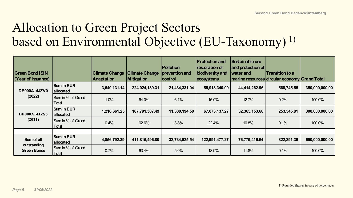### Allocation to Green Project Sectors based on Environmental Objective (EU-Taxonomy)<sup>1)</sup>

| <b>Green Bond ISIN</b><br>(Year of Issuance) |                                    | <b>Climate Change</b><br><b>Adaptation</b> | <b>Climate Change</b><br><b>Mitigation</b> | <b>Pollution</b><br>prevention and<br>control | <b>Protection and</b><br><b>restoration of</b><br>biodiversity and<br>ecosystems | Sustainable use<br>and protection of<br>water and<br> marine resources circular economy Grand Total | <b>Transition to a</b> |                |
|----------------------------------------------|------------------------------------|--------------------------------------------|--------------------------------------------|-----------------------------------------------|----------------------------------------------------------------------------------|-----------------------------------------------------------------------------------------------------|------------------------|----------------|
| DE000A14JZV0                                 | <b>Sum in EUR</b><br>allocated     | 3,640,131.14                               | 224,024,189.31                             | 21,434,331.04                                 | 55,918,340.00                                                                    | 44,414,262.96                                                                                       | 568,745.55             | 350,000,000.00 |
| (2022)                                       | <b>ISum in % of Grand</b><br>Total | 1.0%                                       | 64.0%                                      | 6.1%                                          | 16.0%                                                                            | 12.7%                                                                                               | 0.2%                   | 100.0%         |
| DE000A14JZS6                                 | <b>Sum in EUR</b><br>allocated     | 1,216,661.25                               | 187,791,307.49                             | 11,300,194.50                                 | 67,073,137.27                                                                    | 32,365,153.68                                                                                       | 253,545.81             | 300,000,000.00 |
| (2021)                                       | Sum in % of Grand<br>Total         | 0.4%                                       | 62.6%                                      | 3.8%                                          | 22.4%                                                                            | 10.8%                                                                                               | 0.1%                   | 100.0%         |
|                                              |                                    |                                            |                                            |                                               |                                                                                  |                                                                                                     |                        |                |
| Sum of all                                   | <b>Sum in EUR</b><br>allocated     | 4,856,792.39                               | 411,815,496.80                             | 32,734,525.54                                 | 122,991,477.27                                                                   | 76,779,416.64                                                                                       | 822,291.36             | 650,000,000.00 |
| outstanding<br><b>Green Bonds</b>            | Sum in % of Grand<br>Total         | 0.7%                                       | 63.4%                                      | 5.0%                                          | 18.9%                                                                            | 11.8%                                                                                               | 0.1%                   | 100.0%         |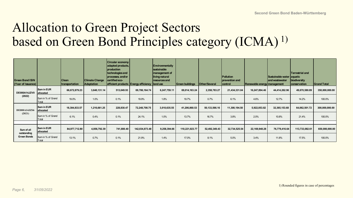# Allocation to Green Project Sectors based on Green Bond Principles category (ICMA)<sup>1)</sup>

| <b>Green Bond ISIN</b><br>(Year of Issuance) |                                   | <b>Clean</b><br>transportation | <b>Climate Change</b><br>Adaptation | <b>Circular economy</b><br>adapted products,<br>production<br>technologies and<br>processes, and/or<br>certified eco- | efficient products Energy efficiency land use | <b>Environmentally</b><br><b>Sustainable</b><br>management of<br>living natural<br>resources and | <b>Green buildings</b> | Other/Several | <b>Pollution</b><br>prevention and<br>control | Renewable energy management | Sustainable water aquatic<br>and wastewater | Terrestrial and<br>biodiversity<br>conservation | <b>Grand Total</b> |
|----------------------------------------------|-----------------------------------|--------------------------------|-------------------------------------|-----------------------------------------------------------------------------------------------------------------------|-----------------------------------------------|--------------------------------------------------------------------------------------------------|------------------------|---------------|-----------------------------------------------|-----------------------------|---------------------------------------------|-------------------------------------------------|--------------------|
| <b>DE000A14JZV0</b>                          | <b>Sum in EUR</b><br>allocated    | 66,672,879.23                  | 3,640,131.14                        | 513,049.93                                                                                                            | 69,786,164.74                                 | 6,247,759.11                                                                                     | 69,014,163.24          | 2,358,783.27  | 21,434,331.04                                 | 16,247,894.46               | 44,414,262.96                               | 49,670,580.89                                   | 350,000,000.00     |
| (2022)                                       | Sum in % of Grand<br>Total        | 19.0%                          | 1.0%                                | 0.1%                                                                                                                  | 19.9%                                         | 1.8%                                                                                             | 19.7%                  | 0.7%          | 6.1%                                          | 4.6%                        | 12.7%                                       | 14.2%                                           | 100.0%             |
| DE000A14JZS6                                 | <b>Sum in EUR</b><br>allocated    | 18,304,833.57                  | 1,216,661.25                        | 228,830.47                                                                                                            | 72,248,708.75                                 | 3,010,635.55                                                                                     | 41,206,860.53          | 50,133,566.16 | 11,300,194.50                                 | 5,922,053.82                | 32,365,153.68                               | 64,062,501.72                                   | 300,000,000.00     |
| (2021)                                       | Sum in % of Grand<br><b>Total</b> | 6.1%                           | 0.4%                                | 0.1%                                                                                                                  | 24.1%                                         | 1.0%                                                                                             | 13.7%                  | 16.7%         | 3.8%                                          | 2.0%                        | 10.8%                                       | 21.4%                                           | 100.0%             |
|                                              |                                   |                                |                                     |                                                                                                                       |                                               |                                                                                                  |                        |               |                                               |                             |                                             |                                                 |                    |
| Sum of all                                   | Sum in EUR<br>allocated           | 84,977,712.80                  | 4,856,792.39                        | 741,880.40                                                                                                            | 142,034,873.48                                | 9,258,394.66                                                                                     | 110,221,023.77         | 52,492,349.43 | 32,734,525.54                                 | 22, 169, 948. 28            | 76,779,416.64                               | 113,733,082.61                                  | 650,000,000.00     |
| outstanding<br><b>Green Bonds</b>            | Sum in % of Grand<br>Total        | 13.1%                          | 0.7%                                | 0.1%                                                                                                                  | 21.9%                                         | 1.4%                                                                                             | 17.0%                  | 8.1%          | 5.0%                                          | 3.4%                        | 11.8%                                       | 17.5%                                           | 100.0%             |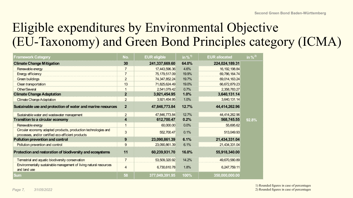# Eligible expenditures by Environmental Objective (EU-Taxonomy) and Green Bond Principles category (ICMA)

| <b>Framework Category</b>                                                                                            | No.                     | <b>EUR eligible</b> | in $%^{1}$ | <b>EUR allocated</b> | in $%^{2}$ |
|----------------------------------------------------------------------------------------------------------------------|-------------------------|---------------------|------------|----------------------|------------|
| <b>Climate Change Mitigation</b>                                                                                     | 30                      | 241,337,669.60      | 64.0%      | 224,024,189.31       |            |
| Renewable energy                                                                                                     | $\overline{7}$          | 17,443,596.36       | 4.6%       | 16, 192, 198.84      |            |
| <b>Energy efficiency</b>                                                                                             | $\overline{7}$          | 75,179,517.09       | 19.9%      | 69,786,164.74        |            |
| Green buildings                                                                                                      | $\overline{2}$          | 74, 347, 852. 24    | 19.7%      | 69,014,163.24        |            |
| Clean transportation                                                                                                 | 13                      | 71,825,624.49       | 19.0%      | 66,672,879.23        |            |
| Other/Several                                                                                                        |                         | 2,541,079.42        | 0.7%       | 2,358,783.27         |            |
| <b>Climate Change Adaptation</b>                                                                                     | $\overline{2}$          | 3,921,454.95        | 1.0%       | 3,640,131.14         |            |
| <b>Climate Change Adaptation</b>                                                                                     | $\overline{2}$          | 3,921,454.95        | 1.0%       | 3,640,131.14         |            |
| Sustainable use and protection of water and marine resources                                                         | $\mathbf{2}$            | 47,846,773.84       | 12.7%      | 44,414,262.96        |            |
| Sustainable water and wastewater management                                                                          | $\overline{2}$          | 47,846,773.84       | 12.7%      | 44,414,262.96        |            |
| <b>Transition to a circular economy</b>                                                                              | 4                       | 612,700.47          | 0.2%       | 568,745.55           | 92.8%      |
| Renewable energy                                                                                                     | $\mathbf 1$             | 60,000.00           | 0.0%       | 55,695.62            |            |
| Circular economy adapted products, production technologies and<br>processes, and/or certified eco-efficient products | $\mathbf{3}$            | 552,700.47          | 0.1%       | 513,049.93           |            |
| <b>Pollution prevention and control</b>                                                                              | 9                       | 23,090,861.39       | 6.1%       | 21,434,331.04        |            |
| Pollution prevention and control                                                                                     | 9                       | 23,090,861.39       | 6.1%       | 21,434,331.04        |            |
| Protection and restoration of biodiversity and ecosystems                                                            | 11                      | 60,239,931.70       | 16.0%      | 55,918,340.00        |            |
| Terrestrial and aquatic biodiversity conservation                                                                    | $\overline{7}$          | 53,509,320.92       | 14.2%      | 49,670,580.89        |            |
| Environmentally sustainable management of living natural resources<br>and land use                                   | $\overline{\mathbf{4}}$ | 6,730,610.78        | 1.8%       | 6,247,759.11         |            |
| Sum                                                                                                                  | 58                      | 377,049,391.95      | 100%       | 350,000,000.00       |            |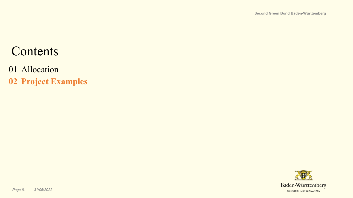### **Contents**

#### 01 Allocation

**02 Project Examples**

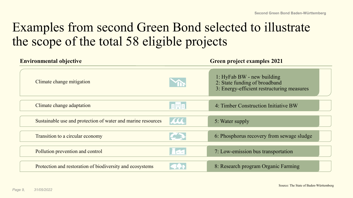# Examples from second Green Bond selected to illustrate the scope of the total 58 eligible projects

| <b>Environmental objective</b>                               |           | <b>Green project examples 2021</b>                                                                        |
|--------------------------------------------------------------|-----------|-----------------------------------------------------------------------------------------------------------|
| Climate change mitigation                                    |           | 1: HyFab BW - new building<br>2: State funding of broadband<br>3: Energy-efficient restructuring measures |
| Climate change adaptation                                    | 月開印       | 4: Timber Construction Initiative BW                                                                      |
| Sustainable use and protection of water and marine resources | <b>AA</b> | 5: Water supply                                                                                           |
| Transition to a circular economy                             |           | 6: Phosphorus recovery from sewage sludge                                                                 |
| Pollution prevention and control                             | $- -$     | 7: Low-emission bus transportation                                                                        |
| Protection and restoration of biodiversity and ecosystems    |           | 8: Research program Organic Farming                                                                       |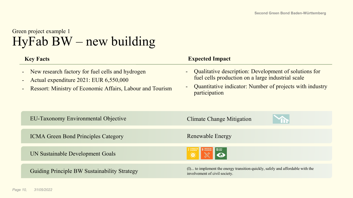#### Green project example 1 HyFab BW – new building

| <b>Key Facts</b>                                                                                                                                               | <b>Expected Impact</b>                                                                                                                                                                  |
|----------------------------------------------------------------------------------------------------------------------------------------------------------------|-----------------------------------------------------------------------------------------------------------------------------------------------------------------------------------------|
| New research factory for fuel cells and hydrogen<br>Actual expenditure 2021: EUR 6,550,000<br><b>Ressort: Ministry of Economic Affairs, Labour and Tourism</b> | Qualitative description: Development of solutions for<br>fuel cells production on a large industrial scale<br>Quantitative indicator: Number of projects with industry<br>participation |
| <b>EU-Taxonomy Environmental Objective</b>                                                                                                                     | <b>Climate Change Mitigation</b>                                                                                                                                                        |
| <b>ICMA Green Bond Principles Category</b>                                                                                                                     | Renewable Energy                                                                                                                                                                        |
| UN Sustainable Development Goals                                                                                                                               |                                                                                                                                                                                         |
| <b>Guiding Principle BW Sustainability Strategy</b>                                                                                                            | (I) to implement the energy transition quickly, safely and affordable with the<br>involvement of civil society.                                                                         |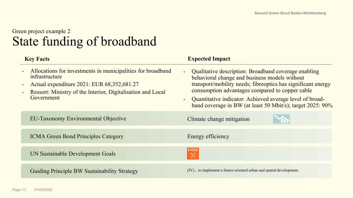#### Green project example 2 State funding of broadband

| <b>Key Facts</b>                                                                                                                                                                                                                                                                | <b>Expected Impact</b>                                                                                                                                                                                                                                                                                                                                                 |
|---------------------------------------------------------------------------------------------------------------------------------------------------------------------------------------------------------------------------------------------------------------------------------|------------------------------------------------------------------------------------------------------------------------------------------------------------------------------------------------------------------------------------------------------------------------------------------------------------------------------------------------------------------------|
| Allocations for investments in municipalities for broadband<br>$\frac{1}{2}$ , $\frac{1}{2}$<br>infrastructure<br>Actual expenditure 2021: EUR 68,352,681.27<br>$\sim$<br>Ressort: Ministry of the Interior, Digitalisation and Local<br>$\overline{\phantom{a}}$<br>Government | Qualitative description: Broadband coverage enabling<br>$\omega_{\rm c}$<br>behavioral change and business models without<br>transport/mobility needs; fibreoptics has significant energy<br>consumption advantages compared to copper cable<br>Quantitative indicator: Achieved average level of broad-<br>band coverage in BW (at least 50 Mbit/s); target 2025: 90% |
| <b>EU-Taxonomy Environmental Objective</b>                                                                                                                                                                                                                                      | Climate change mitigation                                                                                                                                                                                                                                                                                                                                              |
| <b>ICMA Green Bond Principles Category</b>                                                                                                                                                                                                                                      | Energy efficiency                                                                                                                                                                                                                                                                                                                                                      |
| UN Sustainable Development Goals                                                                                                                                                                                                                                                | $\frac{1}{2}$                                                                                                                                                                                                                                                                                                                                                          |
| <b>Guiding Principle BW Sustainability Strategy</b>                                                                                                                                                                                                                             | (IV) to implement a future-oriented urban and spatial development.                                                                                                                                                                                                                                                                                                     |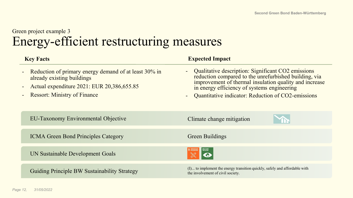### Green project example 3 Energy-efficient restructuring measures

| <b>Key Facts</b>                                                                                                                                                                           | <b>Expected Impact</b>                                                                                                                                                                                                                                                       |
|--------------------------------------------------------------------------------------------------------------------------------------------------------------------------------------------|------------------------------------------------------------------------------------------------------------------------------------------------------------------------------------------------------------------------------------------------------------------------------|
| Reduction of primary energy demand of at least 30% in<br>$\blacksquare$<br>already existing buildings<br>Actual expenditure 2021: EUR 20,386,655.85<br><b>Ressort: Ministry of Finance</b> | - Qualitative description: Significant CO2 emissions<br>reduction compared to the unrefurbished building, via<br>improvement of thermal insulation quality and increase<br>in energy efficiency of systems engineering<br>Quantitative indicator: Reduction of CO2-emissions |
| <b>EU-Taxonomy Environmental Objective</b>                                                                                                                                                 | Climate change mitigation                                                                                                                                                                                                                                                    |
| <b>ICMA Green Bond Principles Category</b>                                                                                                                                                 | Green Buildings                                                                                                                                                                                                                                                              |
| UN Sustainable Development Goals                                                                                                                                                           | $\frac{1}{2}$                                                                                                                                                                                                                                                                |
| <b>Guiding Principle BW Sustainability Strategy</b>                                                                                                                                        | (I) to implement the energy transition quickly, safely and affordable with<br>the involvement of civil society.                                                                                                                                                              |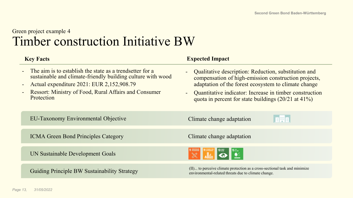#### Green project example 4 Timber construction Initiative BW

| <b>Key Facts</b>                                                                                                                                                                                                                                   | <b>Expected Impact</b>                                                                                                                                                                                                                                                                                                                    |
|----------------------------------------------------------------------------------------------------------------------------------------------------------------------------------------------------------------------------------------------------|-------------------------------------------------------------------------------------------------------------------------------------------------------------------------------------------------------------------------------------------------------------------------------------------------------------------------------------------|
| The aim is to establish the state as a trendsetter for a<br>sustainable and climate-friendly building culture with wood<br>Actual expenditure 2021: EUR 2,152,908.79<br><b>Ressort: Ministry of Food, Rural Affairs and Consumer</b><br>Protection | Qualitative description: Reduction, substitution and<br>$\overline{\phantom{0}}$<br>compensation of high-emission construction projects,<br>adaptation of the forest ecosystem to climate change<br>Quantitative indicator: Increase in timber construction<br>$\blacksquare$<br>quota in percent for state buildings $(20/21$ at $41\%)$ |
| <b>EU-Taxonomy Environmental Objective</b>                                                                                                                                                                                                         | <b>RTE</b><br>Climate change adaptation                                                                                                                                                                                                                                                                                                   |
| <b>ICMA Green Bond Principles Category</b>                                                                                                                                                                                                         | Climate change adaptation                                                                                                                                                                                                                                                                                                                 |
| UN Sustainable Development Goals                                                                                                                                                                                                                   | 11 SOURCOMES 13 CHARGE 15 US AND 15 US AND SURFACE 15 US AND SURFACE 15 US AND SURFACE 15 US AND SURFACE 15 US AND SURFACE 15 US AND SURFACE 15 US AND SURFACE 15 US AND SURFACE 15 US AND SURFACE 15 US AND SURFACE 15 US AN                                                                                                             |
| <b>Guiding Principle BW Sustainability Strategy</b>                                                                                                                                                                                                | (II) to perceive climate protection as a cross-sectional task and minimize<br>environmental-related threats due to climate change.                                                                                                                                                                                                        |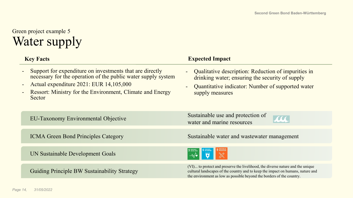### Green project example 5 Water supply

| <b>Key Facts</b>                                                                                                                                                                                                                                                                | <b>Expected Impact</b>                                                                                                                                                                                                                     |
|---------------------------------------------------------------------------------------------------------------------------------------------------------------------------------------------------------------------------------------------------------------------------------|--------------------------------------------------------------------------------------------------------------------------------------------------------------------------------------------------------------------------------------------|
| Support for expenditure on investments that are directly<br>necessary for the operation of the public water supply system<br>Actual expenditure 2021: EUR 14,105,000<br>$\blacksquare$<br>Ressort: Ministry for the Environment, Climate and Energy<br>$\blacksquare$<br>Sector | Qualitative description: Reduction of impurities in<br>drinking water; ensuring the security of supply<br>Quantitative indicator: Number of supported water<br>supply measures                                                             |
| <b>EU-Taxonomy Environmental Objective</b>                                                                                                                                                                                                                                      | Sustainable use and protection of<br><b>ALL</b><br>water and marine resources                                                                                                                                                              |
| <b>ICMA Green Bond Principles Category</b>                                                                                                                                                                                                                                      | Sustainable water and wastewater management                                                                                                                                                                                                |
| UN Sustainable Development Goals                                                                                                                                                                                                                                                |                                                                                                                                                                                                                                            |
| <b>Guiding Principle BW Sustainability Strategy</b>                                                                                                                                                                                                                             | (VI) to protect and preserve the livelihood, the diverse nature and the unique<br>cultural landscapes of the country and to keep the impact on humans, nature and<br>the environment as low as possible beyond the borders of the country. |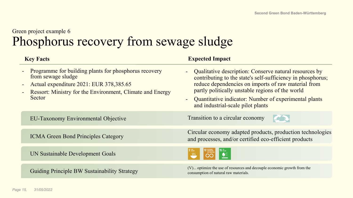### Green project example 6 Phosphorus recovery from sewage sludge

| <b>Key Facts</b>                                                                                                                                                                              | <b>Expected Impact</b>                                                                                                                                                                                                                                                                                                                                             |
|-----------------------------------------------------------------------------------------------------------------------------------------------------------------------------------------------|--------------------------------------------------------------------------------------------------------------------------------------------------------------------------------------------------------------------------------------------------------------------------------------------------------------------------------------------------------------------|
| Programme for building plants for phosphorus recovery<br>from sewage sludge<br>Actual expenditure 2021: EUR 378,385.65<br>Ressort: Ministry for the Environment, Climate and Energy<br>Sector | Qualitative description: Conserve natural resources by<br>$\blacksquare$<br>contributing to the state's self-sufficiency in phosphorus;<br>reduce dependencies on imports of raw material from<br>partly politically unstable regions of the world<br>Quantitative indicator: Number of experimental plants<br>$\blacksquare$<br>and industrial-scale pilot plants |
| <b>EU-Taxonomy Environmental Objective</b>                                                                                                                                                    | Transition to a circular economy<br>43                                                                                                                                                                                                                                                                                                                             |
| <b>ICMA Green Bond Principles Category</b>                                                                                                                                                    | Circular economy adapted products, production technologies<br>and processes, and/or certified eco-efficient products                                                                                                                                                                                                                                               |
| UN Sustainable Development Goals                                                                                                                                                              | $\frac{15}{12}$                                                                                                                                                                                                                                                                                                                                                    |
| <b>Guiding Principle BW Sustainability Strategy</b>                                                                                                                                           | (V) optimize the use of resources and decouple economic growth from the<br>consumption of natural raw materials.                                                                                                                                                                                                                                                   |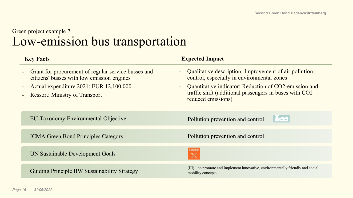#### Green project example 7 Low-emission bus transportation

| <b>Key Facts</b>                                                                                  | <b>Expected Impact</b>                                                                                                                          |
|---------------------------------------------------------------------------------------------------|-------------------------------------------------------------------------------------------------------------------------------------------------|
| Grant for procurement of regular service busses and<br>citizens' busses with low emission engines | - Qualitative description: Improvement of air pollution<br>control, especially in environmental zones                                           |
| Actual expenditure 2021: EUR 12,100,000<br><b>Ressort: Ministry of Transport</b>                  | Quantitative indicator: Reduction of CO2-emission and<br>$\sim$<br>traffic shift (additional passengers in buses with CO2<br>reduced emissions) |
| <b>EU-Taxonomy Environmental Objective</b>                                                        | H EEL<br>Pollution prevention and control                                                                                                       |
| <b>ICMA Green Bond Principles Category</b>                                                        | Pollution prevention and control                                                                                                                |
| UN Sustainable Development Goals                                                                  |                                                                                                                                                 |
| <b>Guiding Principle BW Sustainability Strategy</b>                                               | (III) to promote and implement innovative, environmentally friendly and social<br>mobility concepts.                                            |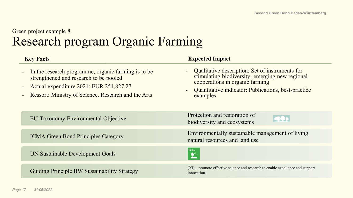#### Green project example 8 Research program Organic Farming

| <b>Key Facts</b>                                                                                                                                                                                                  | <b>Expected Impact</b>                                                                                                                                                                                                       |
|-------------------------------------------------------------------------------------------------------------------------------------------------------------------------------------------------------------------|------------------------------------------------------------------------------------------------------------------------------------------------------------------------------------------------------------------------------|
| In the research programme, organic farming is to be<br>$\blacksquare$<br>strengthened and research to be pooled<br>Actual expenditure 2021: EUR 251,827.27<br>Ressort: Ministry of Science, Research and the Arts | Qualitative description: Set of instruments for<br>$\sim$<br>stimulating biodiversity; emerging new regional<br>cooperations in organic farming<br>Quantitative indicator: Publications, best-practice<br>$\sim$<br>examples |
| <b>EU-Taxonomy Environmental Objective</b>                                                                                                                                                                        | Protection and restoration of<br>biodiversity and ecosystems                                                                                                                                                                 |
| <b>ICMA Green Bond Principles Category</b>                                                                                                                                                                        | Environmentally sustainable management of living<br>natural resources and land use                                                                                                                                           |
| UN Sustainable Development Goals                                                                                                                                                                                  | $15$ $\frac{UFE}{UN LAND}$<br>$\mathbf{E}$                                                                                                                                                                                   |
| <b>Guiding Principle BW Sustainability Strategy</b>                                                                                                                                                               | (XI) promote effective science and research to enable excellence and support<br>innovation.                                                                                                                                  |